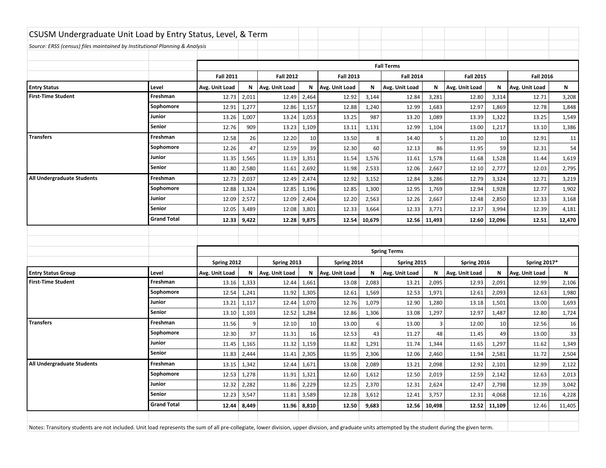| CSUSM Undergraduate Unit Load by Entry Status, Level, & Term                |                    |                  |               |                  |                    |                |        |                     |                  |                |                  |                |        |
|-----------------------------------------------------------------------------|--------------------|------------------|---------------|------------------|--------------------|----------------|--------|---------------------|------------------|----------------|------------------|----------------|--------|
| Source: ERSS (census) files maintained by Institutional Planning & Analysis |                    |                  |               |                  |                    |                |        |                     |                  |                |                  |                |        |
|                                                                             |                    |                  |               |                  |                    |                |        |                     |                  |                |                  |                |        |
|                                                                             |                    |                  |               |                  |                    |                |        | <b>Fall Terms</b>   |                  |                |                  |                |        |
|                                                                             |                    | <b>Fall 2011</b> |               | <b>Fall 2012</b> | <b>Fall 2013</b>   |                |        | <b>Fall 2014</b>    | <b>Fall 2015</b> |                | <b>Fall 2016</b> |                |        |
| <b>Entry Status</b>                                                         | Level              | Avg. Unit Load   | N             | Avg. Unit Load   | N                  | Avg. Unit Load | N      | Avg. Unit Load      | N                | Avg. Unit Load | Ν                | Avg. Unit Load | N      |
| <b>First-Time Student</b>                                                   | Freshman           | 12.73            | 2,011         | 12.49            | 2,464              | 12.92          | 3,144  | 12.84               | 3,281            | 12.80          | 3,314            | 12.71          | 3,208  |
|                                                                             | Sophomore          | 12.91            | 1,277         | 12.86            | 1,157              | 12.88          | 1,240  | 12.99               | 1,683            | 12.97          | 1,869            | 12.78          | 1,848  |
|                                                                             | Junior             | 13.26            | 1,007         | 13.24            | 1,053              | 13.25          | 987    | 13.20               | 1,089            | 13.39          | 1,322            | 13.25          | 1,549  |
|                                                                             | Senior             | 12.76            | 909           | 13.23            | 1,109              | 13.11          | 1,131  | 12.99               | 1,104            | 13.00          | 1,217            | 13.10          | 1,386  |
| <b>Transfers</b>                                                            | Freshman           | 12.58            | 26            | 12.20            | 10                 | 13.50          | 8      | 14.40               | 5                | 11.20          | 10               | 12.91          | 11     |
|                                                                             | Sophomore          | 12.26            | 47            | 12.59            | 39                 | 12.30          | 60     | 12.13               | 86               | 11.95          | 59               | 12.31          | 54     |
|                                                                             | Junior             | 11.35            | 1,565         | 11.19            | 1,351              | 11.54          | 1,576  | 11.61               | 1,578            | 11.68          | 1,528            | 11.44          | 1,619  |
|                                                                             | Senior             | 11.80            | 2,580         | 11.61            | 2,692              | 11.98          | 2,533  | 12.06               | 2,667            | 12.10          | 2,777            | 12.03          | 2,795  |
| All Undergraduate Students                                                  | Freshman           | 12.73            | 2,037         | 12.49            | 2,474              | 12.92          | 3,152  | 12.84               | 3,286            | 12.79          | 3,324            | 12.71          | 3,219  |
|                                                                             | Sophomore          | 12.88            | 1,324         | 12.85            | 1,196              | 12.85          | 1,300  | 12.95               | 1,769            | 12.94          | 1,928            | 12.77          | 1,902  |
|                                                                             | Junior             | 12.09            | 2,572         | 12.09            | 2,404              | 12.20          | 2,563  | 12.26               | 2,667            | 12.48          | 2,850            | 12.33          | 3,168  |
|                                                                             | Senior             | 12.05            | 3,489         | 12.08            | 3,801              | 12.33          | 3,664  | 12.33               | 3,771            | 12.37          | 3,994            | 12.39          | 4,181  |
|                                                                             | <b>Grand Total</b> | 12.33            | 9,422         | 12.28            | 9,875              | 12.54          | 10,679 | 12.56               | 11,493           | 12.60          | 12,096           | 12.51          | 12,470 |
|                                                                             |                    |                  |               |                  |                    |                |        |                     |                  |                |                  |                |        |
|                                                                             |                    |                  |               |                  |                    |                |        |                     |                  |                |                  |                |        |
|                                                                             |                    |                  |               |                  |                    |                |        |                     |                  |                |                  |                |        |
|                                                                             |                    |                  |               |                  |                    |                |        | <b>Spring Terms</b> |                  |                |                  |                |        |
|                                                                             |                    | Spring 2012      |               | Spring 2013      |                    | Spring 2014    |        | Spring 2015         |                  | Spring 2016    |                  | Spring 2017*   |        |
| <b>Entry Status Group</b>                                                   | Level              | Avg. Unit Load   | N             | Avg. Unit Load   | N                  | Avg. Unit Load | N      | Avg. Unit Load      | N                | Avg. Unit Load | Ν                | Avg. Unit Load | N      |
| <b>First-Time Student</b>                                                   | Freshman           | 13.16            | 1,333         | 12.44            | 1,661              | 13.08          | 2,083  | 13.21               | 2,095            | 12.93          | 2,091            | 12.99          | 2,106  |
|                                                                             | Sophomore          | 12.54            | 1,241         | 11.92            | 1,305              | 12.61          | 1,569  | 12.53               | 1,971            | 12.61          | 2,093            | 12.63          | 1,980  |
|                                                                             | Junior             | 13.21            | 1,117         | 12.44            | 1,070              | 12.76          | 1,079  | 12.90               | 1,280            | 13.18          | 1,501            | 13.00          | 1,693  |
|                                                                             | Senior             | 13.10            | 1,103         | 12.52            | 1,284              | 12.86          | 1,306  | 13.08               | 1,297            | 12.97          | 1,487            | 12.80          | 1,724  |
| <b>Transfers</b>                                                            | Freshman           | 11.56            | 9             | 12.10            | 10                 | 13.00          | 6      | 13.00               | $\overline{3}$   | 12.00          | 10               | 12.56          | 16     |
|                                                                             | Sophomore          | 12.30            | 37            | 11.31            | 16                 | 12.53          | 43     | 11.27               | 48               | 11.45          | 49               | 13.00          | 33     |
|                                                                             | Junior             | 11.45            | 1,165         | 11.32            | 1,159              | 11.82          | 1,291  | 11.74               | 1,344            | 11.65          | 1,297            | 11.62          | 1,349  |
|                                                                             | Senior             | 11.83            | 2,444         | 11.41            | 2,305              | 11.95          | 2,306  | 12.06               | 2,460            | 11.94          | 2,581            | 11.72          | 2,504  |
| All Undergraduate Students                                                  | Freshman           | 13.15            | 1,342         | 12.44            | 1,671              | 13.08          | 2,089  | 13.21               | 2,098            | 12.92          | 2,101            | 12.99          | 2,122  |
|                                                                             | Sophomore          |                  | $12.53$ 1,278 |                  | $11.91 \mid 1,321$ | 12.60          | 1,612  | 12.50               | 2,019            | 12.59          | 2,142            | 12.63          | 2,013  |
|                                                                             | Junior             | 12.32            | 2,282         | 11.86            | 2,229              | 12.25          | 2,370  | 12.31               | 2,624            | 12.47          | 2,798            | 12.39          | 3,042  |
|                                                                             | Senior             | 12.23            | 3,547         |                  | 11.81 3,589        | 12.28          | 3,612  | 12.41               | 3,757            | 12.31          | 4,068            | 12.16          | 4,228  |
|                                                                             | <b>Grand Total</b> | 12.44            | 8,449         |                  | $11.96$ 8,810      | 12.50          | 9,683  | 12.56               | 10,498           | 12.52          | 11,109           | 12.46          | 11,405 |
|                                                                             |                    |                  |               |                  |                    |                |        |                     |                  |                |                  |                |        |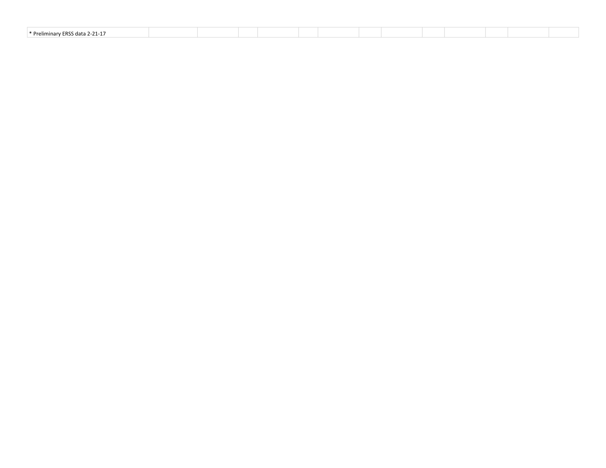| .<br>* Preliminary ERSS.<br>$2 - 21 - 1$<br>1717<br>. |  |  |  |  |
|-------------------------------------------------------|--|--|--|--|
|                                                       |  |  |  |  |